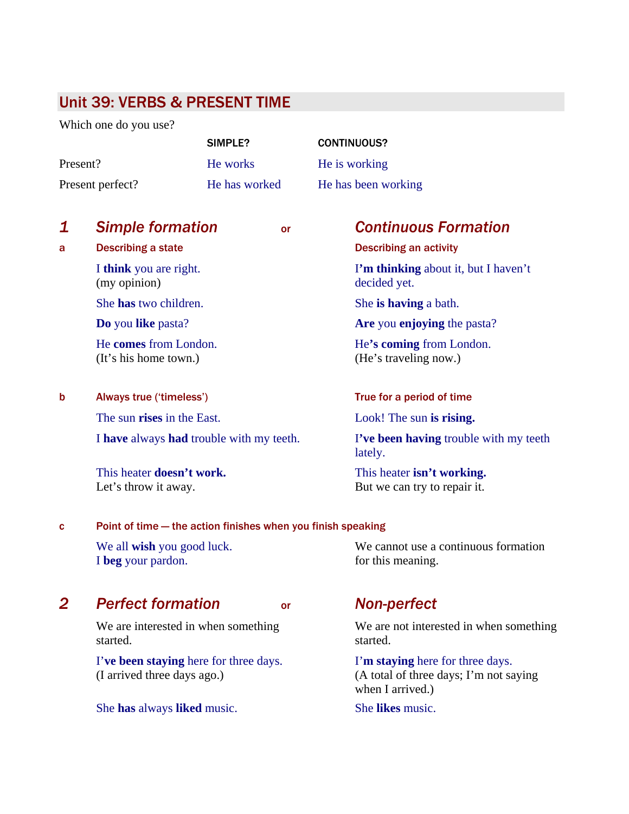# Unit 39: VERBS & PRESENT TIME

Which one do you use?

|                  | SIMPLE?       | <b>CONTINUOUS?</b>  |
|------------------|---------------|---------------------|
| Present?         | He works      | He is working       |
| Present perfect? | He has worked | He has been working |

### *1 Simple formation* or *Continuous Formation*

(my opinion) decided yet.

(It's his home town.) (He's traveling now.)

b Always true ('timeless') True for a period of time

The sun **rises** in the East. Look! The sun **is rising.** 

I **have** always **had** trouble with my teeth. I**'ve been having** trouble with my teeth

This heater **doesn't work.** This heater **isn't working.**

### c Point of time — the action finishes when you finish speaking

We all **wish** you good luck. We cannot use a continuous formation I **beg** your pardon. **for** this meaning.

## *2 Perfect formation* or *Non-perfect*

started. started.

 I'**ve been staying** here for three days. I'**m staying** here for three days. (I arrived three days ago.) (A total of three days; I'm not saying

She **has** always **liked** music. She **likes** music.

a Describing a state Describing an activity

I **think** you are right. I**'m thinking** about it, but I haven't

She **has** two children. She **is having** a bath.

**Do** you **like** pasta? **Are** you **enjoying** the pasta?

He **comes** from London. He**'s coming** from London.

lately.

Let's throw it away. But we can try to repair it.

We are interested in when something We are not interested in when something

when I arrived.)